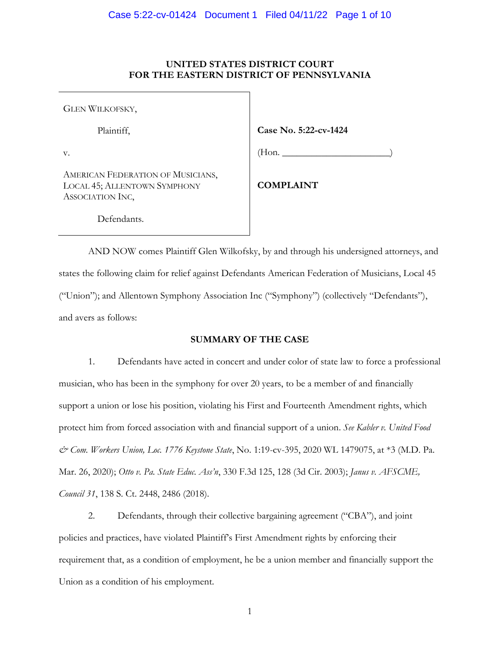# **UNITED STATES DISTRICT COURT FOR THE EASTERN DISTRICT OF PENNSYLVANIA**

GLEN WILKOFSKY,

Plaintiff,

v.

AMERICAN FEDERATION OF MUSICIANS, LOCAL 45; ALLENTOWN SYMPHONY ASSOCIATION INC,

**Case No. 5:22-cv-1424**

 $(Hon.$ 

**COMPLAINT**

Defendants.

AND NOW comes Plaintiff Glen Wilkofsky, by and through his undersigned attorneys, and states the following claim for relief against Defendants American Federation of Musicians, Local 45 ("Union"); and Allentown Symphony Association Inc ("Symphony") (collectively "Defendants"), and avers as follows:

# **SUMMARY OF THE CASE**

1. Defendants have acted in concert and under color of state law to force a professional musician, who has been in the symphony for over 20 years, to be a member of and financially support a union or lose his position, violating his First and Fourteenth Amendment rights, which protect him from forced association with and financial support of a union. *See Kabler v. United Food & Com. Workers Union, Loc. 1776 Keystone State*, No. 1:19-cv-395, 2020 WL 1479075, at \*3 (M.D. Pa. Mar. 26, 2020); *Otto v. Pa. State Educ. Ass'n*, 330 F.3d 125, 128 (3d Cir. 2003); *Janus v. AFSCME, Council 31*, 138 S. Ct. 2448, 2486 (2018).

2. Defendants, through their collective bargaining agreement ("CBA"), and joint policies and practices, have violated Plaintiff's First Amendment rights by enforcing their requirement that, as a condition of employment, he be a union member and financially support the Union as a condition of his employment.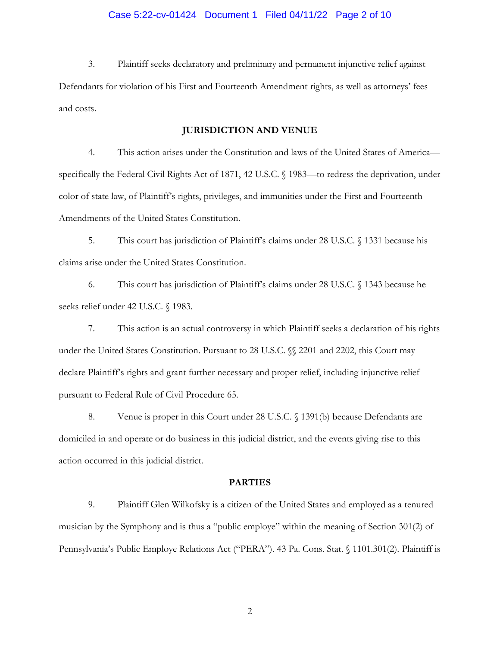# Case 5:22-cv-01424 Document 1 Filed 04/11/22 Page 2 of 10

3. Plaintiff seeks declaratory and preliminary and permanent injunctive relief against Defendants for violation of his First and Fourteenth Amendment rights, as well as attorneys' fees and costs.

### **JURISDICTION AND VENUE**

4. This action arises under the Constitution and laws of the United States of America specifically the Federal Civil Rights Act of 1871, 42 U.S.C. § 1983—to redress the deprivation, under color of state law, of Plaintiff's rights, privileges, and immunities under the First and Fourteenth Amendments of the United States Constitution.

5. This court has jurisdiction of Plaintiff's claims under 28 U.S.C. § 1331 because his claims arise under the United States Constitution.

6. This court has jurisdiction of Plaintiff's claims under 28 U.S.C. § 1343 because he seeks relief under 42 U.S.C. § 1983.

7. This action is an actual controversy in which Plaintiff seeks a declaration of his rights under the United States Constitution. Pursuant to 28 U.S.C.  $\%$  2201 and 2202, this Court may declare Plaintiff's rights and grant further necessary and proper relief, including injunctive relief pursuant to Federal Rule of Civil Procedure 65.

8. Venue is proper in this Court under 28 U.S.C. § 1391(b) because Defendants are domiciled in and operate or do business in this judicial district, and the events giving rise to this action occurred in this judicial district.

#### **PARTIES**

9. Plaintiff Glen Wilkofsky is a citizen of the United States and employed as a tenured musician by the Symphony and is thus a "public employe" within the meaning of Section 301(2) of Pennsylvania's Public Employe Relations Act ("PERA"). 43 Pa. Cons. Stat. § 1101.301(2). Plaintiff is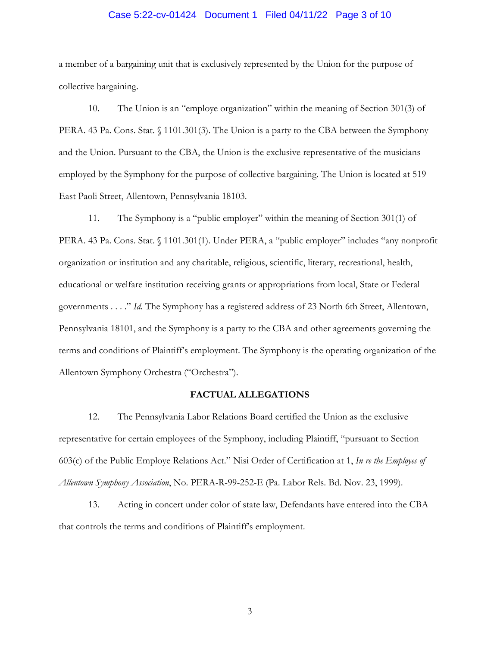#### Case 5:22-cv-01424 Document 1 Filed 04/11/22 Page 3 of 10

a member of a bargaining unit that is exclusively represented by the Union for the purpose of collective bargaining.

10. The Union is an "employe organization" within the meaning of Section 301(3) of PERA. 43 Pa. Cons. Stat. § 1101.301(3). The Union is a party to the CBA between the Symphony and the Union. Pursuant to the CBA, the Union is the exclusive representative of the musicians employed by the Symphony for the purpose of collective bargaining. The Union is located at 519 East Paoli Street, Allentown, Pennsylvania 18103.

11. The Symphony is a "public employer" within the meaning of Section 301(1) of PERA. 43 Pa. Cons. Stat. § 1101.301(1). Under PERA, a "public employer" includes "any nonprofit organization or institution and any charitable, religious, scientific, literary, recreational, health, educational or welfare institution receiving grants or appropriations from local, State or Federal governments . . . ." *Id.* The Symphony has a registered address of 23 North 6th Street, Allentown, Pennsylvania 18101, and the Symphony is a party to the CBA and other agreements governing the terms and conditions of Plaintiff's employment. The Symphony is the operating organization of the Allentown Symphony Orchestra ("Orchestra").

## **FACTUAL ALLEGATIONS**

12. The Pennsylvania Labor Relations Board certified the Union as the exclusive representative for certain employees of the Symphony, including Plaintiff, "pursuant to Section 603(c) of the Public Employe Relations Act." Nisi Order of Certification at 1, *In re the Employes of Allentown Symphony Association*, No. PERA-R-99-252-E (Pa. Labor Rels. Bd. Nov. 23, 1999).

13. Acting in concert under color of state law, Defendants have entered into the CBA that controls the terms and conditions of Plaintiff's employment.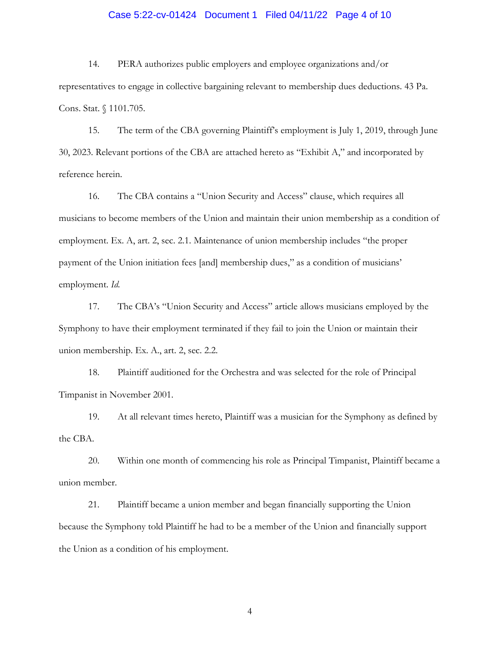#### Case 5:22-cv-01424 Document 1 Filed 04/11/22 Page 4 of 10

14. PERA authorizes public employers and employee organizations and/or representatives to engage in collective bargaining relevant to membership dues deductions. 43 Pa. Cons. Stat. § 1101.705.

15. The term of the CBA governing Plaintiff's employment is July 1, 2019, through June 30, 2023. Relevant portions of the CBA are attached hereto as "Exhibit A," and incorporated by reference herein.

16. The CBA contains a "Union Security and Access" clause, which requires all musicians to become members of the Union and maintain their union membership as a condition of employment. Ex. A, art. 2, sec. 2.1. Maintenance of union membership includes "the proper payment of the Union initiation fees [and] membership dues," as a condition of musicians' employment. *Id.*

17. The CBA's "Union Security and Access" article allows musicians employed by the Symphony to have their employment terminated if they fail to join the Union or maintain their union membership. Ex. A., art. 2, sec. 2.2.

18. Plaintiff auditioned for the Orchestra and was selected for the role of Principal Timpanist in November 2001.

19. At all relevant times hereto, Plaintiff was a musician for the Symphony as defined by the CBA.

20. Within one month of commencing his role as Principal Timpanist, Plaintiff became a union member.

21. Plaintiff became a union member and began financially supporting the Union because the Symphony told Plaintiff he had to be a member of the Union and financially support the Union as a condition of his employment.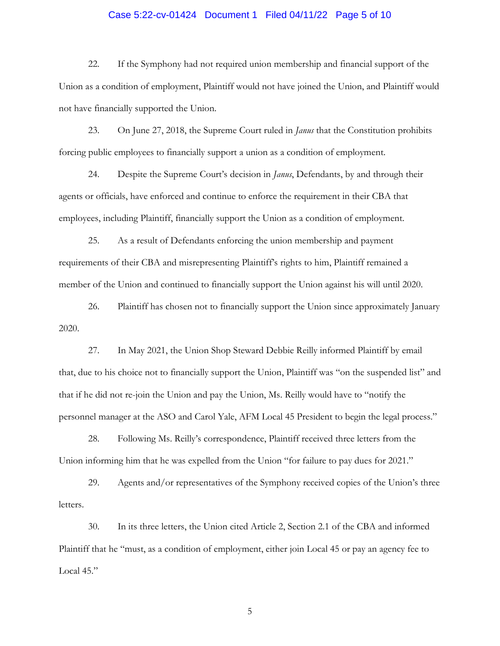#### Case 5:22-cv-01424 Document 1 Filed 04/11/22 Page 5 of 10

22. If the Symphony had not required union membership and financial support of the Union as a condition of employment, Plaintiff would not have joined the Union, and Plaintiff would not have financially supported the Union.

23. On June 27, 2018, the Supreme Court ruled in *Janus* that the Constitution prohibits forcing public employees to financially support a union as a condition of employment.

24. Despite the Supreme Court's decision in *Janus*, Defendants, by and through their agents or officials, have enforced and continue to enforce the requirement in their CBA that employees, including Plaintiff, financially support the Union as a condition of employment.

25. As a result of Defendants enforcing the union membership and payment requirements of their CBA and misrepresenting Plaintiff's rights to him, Plaintiff remained a member of the Union and continued to financially support the Union against his will until 2020.

26. Plaintiff has chosen not to financially support the Union since approximately January 2020.

27. In May 2021, the Union Shop Steward Debbie Reilly informed Plaintiff by email that, due to his choice not to financially support the Union, Plaintiff was "on the suspended list" and that if he did not re-join the Union and pay the Union, Ms. Reilly would have to "notify the personnel manager at the ASO and Carol Yale, AFM Local 45 President to begin the legal process."

28. Following Ms. Reilly's correspondence, Plaintiff received three letters from the Union informing him that he was expelled from the Union "for failure to pay dues for 2021."

29. Agents and/or representatives of the Symphony received copies of the Union's three letters.

30. In its three letters, the Union cited Article 2, Section 2.1 of the CBA and informed Plaintiff that he "must, as a condition of employment, either join Local 45 or pay an agency fee to Local 45."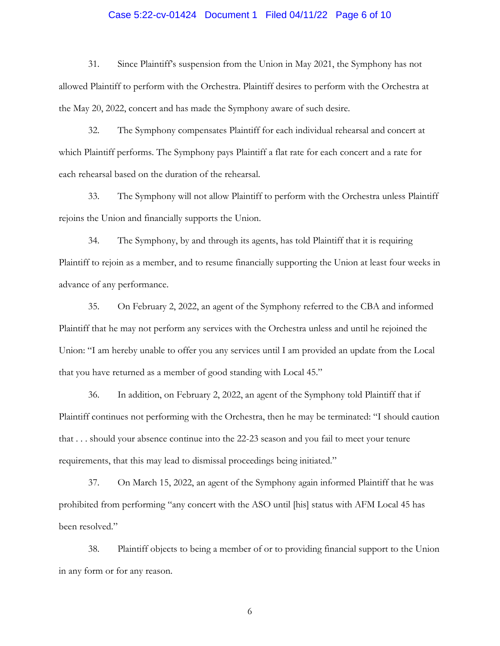#### Case 5:22-cv-01424 Document 1 Filed 04/11/22 Page 6 of 10

31. Since Plaintiff's suspension from the Union in May 2021, the Symphony has not allowed Plaintiff to perform with the Orchestra. Plaintiff desires to perform with the Orchestra at the May 20, 2022, concert and has made the Symphony aware of such desire.

32. The Symphony compensates Plaintiff for each individual rehearsal and concert at which Plaintiff performs. The Symphony pays Plaintiff a flat rate for each concert and a rate for each rehearsal based on the duration of the rehearsal.

33. The Symphony will not allow Plaintiff to perform with the Orchestra unless Plaintiff rejoins the Union and financially supports the Union.

34. The Symphony, by and through its agents, has told Plaintiff that it is requiring Plaintiff to rejoin as a member, and to resume financially supporting the Union at least four weeks in advance of any performance.

35. On February 2, 2022, an agent of the Symphony referred to the CBA and informed Plaintiff that he may not perform any services with the Orchestra unless and until he rejoined the Union: "I am hereby unable to offer you any services until I am provided an update from the Local that you have returned as a member of good standing with Local 45."

36. In addition, on February 2, 2022, an agent of the Symphony told Plaintiff that if Plaintiff continues not performing with the Orchestra, then he may be terminated: "I should caution that . . . should your absence continue into the 22-23 season and you fail to meet your tenure requirements, that this may lead to dismissal proceedings being initiated."

37. On March 15, 2022, an agent of the Symphony again informed Plaintiff that he was prohibited from performing "any concert with the ASO until [his] status with AFM Local 45 has been resolved."

38. Plaintiff objects to being a member of or to providing financial support to the Union in any form or for any reason.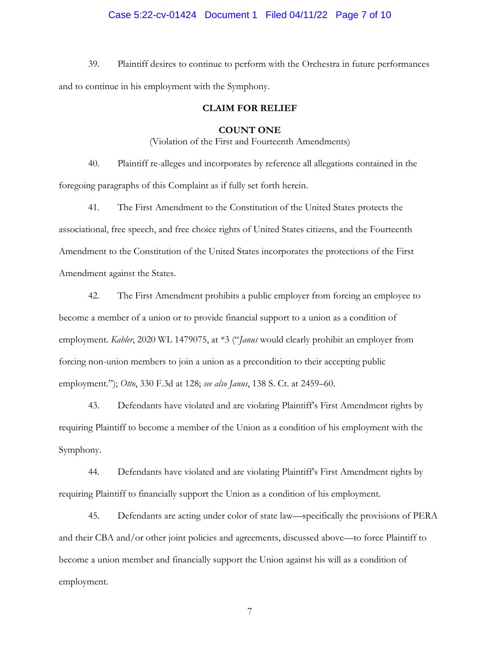#### Case 5:22-cv-01424 Document 1 Filed 04/11/22 Page 7 of 10

39. Plaintiff desires to continue to perform with the Orchestra in future performances and to continue in his employment with the Symphony.

### **CLAIM FOR RELIEF**

#### **COUNT ONE**

(Violation of the First and Fourteenth Amendments)

40. Plaintiff re-alleges and incorporates by reference all allegations contained in the foregoing paragraphs of this Complaint as if fully set forth herein.

41. The First Amendment to the Constitution of the United States protects the associational, free speech, and free choice rights of United States citizens, and the Fourteenth Amendment to the Constitution of the United States incorporates the protections of the First Amendment against the States.

42. The First Amendment prohibits a public employer from forcing an employee to become a member of a union or to provide financial support to a union as a condition of employment. *Kabler*, 2020 WL 1479075, at \*3 ("*Janus* would clearly prohibit an employer from forcing non-union members to join a union as a precondition to their accepting public employment."); *Otto*, 330 F.3d at 128; *see also Janus*, 138 S. Ct. at 2459–60.

43. Defendants have violated and are violating Plaintiff's First Amendment rights by requiring Plaintiff to become a member of the Union as a condition of his employment with the Symphony.

44. Defendants have violated and are violating Plaintiff's First Amendment rights by requiring Plaintiff to financially support the Union as a condition of his employment.

45. Defendants are acting under color of state law—specifically the provisions of PERA and their CBA and/or other joint policies and agreements, discussed above—to force Plaintiff to become a union member and financially support the Union against his will as a condition of employment.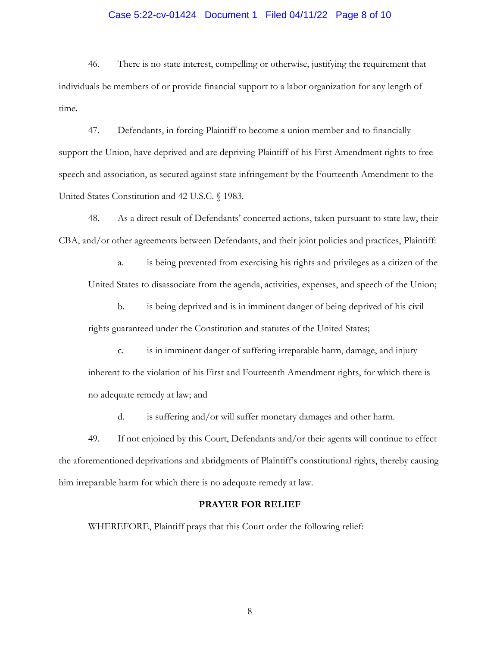### Case 5:22-cv-01424 Document 1 Filed 04/11/22 Page 8 of 10

46. There is no state interest, compelling or otherwise, justifying the requirement that individuals be members of or provide financial support to a labor organization for any length of time.

47. Defendants, in forcing Plaintiff to become a union member and to financially support the Union, have deprived and are depriving Plaintiff of his First Amendment rights to free speech and association, as secured against state infringement by the Fourteenth Amendment to the United States Constitution and 42 U.S.C. § 1983.

48. As a direct result of Defendants' concerted actions, taken pursuant to state law, their CBA, and/or other agreements between Defendants, and their joint policies and practices, Plaintiff:

a. is being prevented from exercising his rights and privileges as a citizen of the United States to disassociate from the agenda, activities, expenses, and speech of the Union;

b. is being deprived and is in imminent danger of being deprived of his civil rights guaranteed under the Constitution and statutes of the United States;

c. is in imminent danger of suffering irreparable harm, damage, and injury inherent to the violation of his First and Fourteenth Amendment rights, for which there is no adequate remedy at law; and

d. is suffering and/or will suffer monetary damages and other harm.

49. If not enjoined by this Court, Defendants and/or their agents will continue to effect the aforementioned deprivations and abridgments of Plaintiff's constitutional rights, thereby causing him irreparable harm for which there is no adequate remedy at law.

## **PRAYER FOR RELIEF**

WHEREFORE, Plaintiff prays that this Court order the following relief: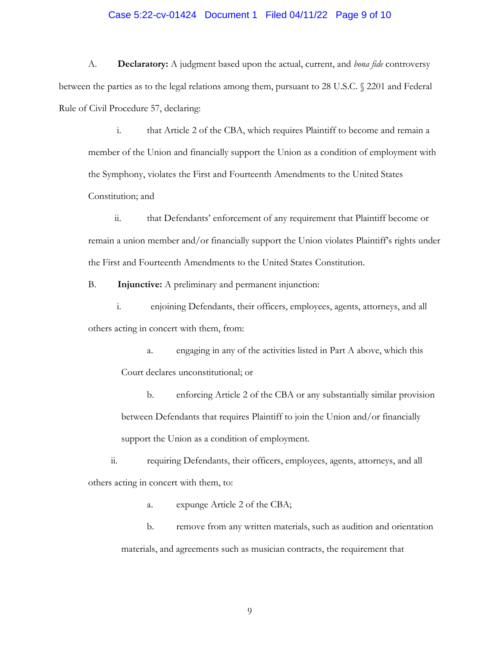#### Case 5:22-cv-01424 Document 1 Filed 04/11/22 Page 9 of 10

A. **Declaratory:** A judgment based upon the actual, current, and *bona fide* controversy between the parties as to the legal relations among them, pursuant to 28 U.S.C. § 2201 and Federal Rule of Civil Procedure 57, declaring:

i. that Article 2 of the CBA, which requires Plaintiff to become and remain a member of the Union and financially support the Union as a condition of employment with the Symphony, violates the First and Fourteenth Amendments to the United States Constitution; and

ii. that Defendants' enforcement of any requirement that Plaintiff become or remain a union member and/or financially support the Union violates Plaintiff's rights under the First and Fourteenth Amendments to the United States Constitution.

B. **Injunctive:** A preliminary and permanent injunction:

i. enjoining Defendants, their officers, employees, agents, attorneys, and all others acting in concert with them, from:

a. engaging in any of the activities listed in Part A above, which this Court declares unconstitutional; or

b. enforcing Article 2 of the CBA or any substantially similar provision between Defendants that requires Plaintiff to join the Union and/or financially support the Union as a condition of employment.

ii. requiring Defendants, their officers, employees, agents, attorneys, and all others acting in concert with them, to:

a. expunge Article 2 of the CBA;

b. remove from any written materials, such as audition and orientation materials, and agreements such as musician contracts, the requirement that